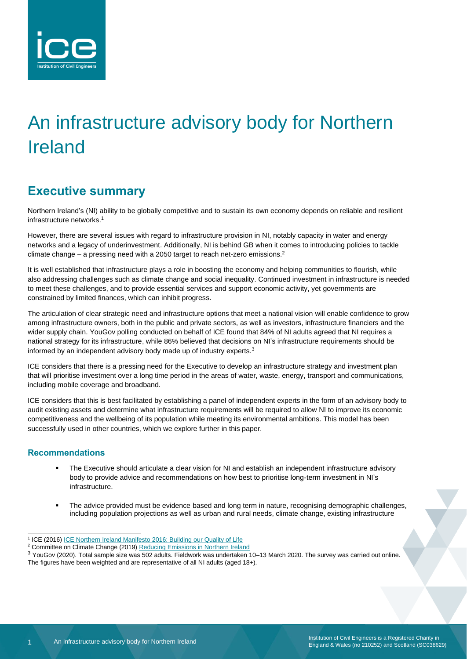

# An infrastructure advisory body for Northern Ireland

## **Executive summary**

Northern Ireland's (NI) ability to be globally competitive and to sustain its own economy depends on reliable and resilient infrastructure networks.<sup>1</sup>

However, there are several issues with regard to infrastructure provision in NI, notably capacity in water and energy networks and a legacy of underinvestment. Additionally, NI is behind GB when it comes to introducing policies to tackle climate change – a pressing need with a 2050 target to reach net-zero emissions.<sup>2</sup>

It is well established that infrastructure plays a role in boosting the economy and helping communities to flourish, while also addressing challenges such as climate change and social inequality. Continued investment in infrastructure is needed to meet these challenges, and to provide essential services and support economic activity, yet governments are constrained by limited finances, which can inhibit progress.

The articulation of clear strategic need and infrastructure options that meet a national vision will enable confidence to grow among infrastructure owners, both in the public and private sectors, as well as investors, infrastructure financiers and the wider supply chain. YouGov polling conducted on behalf of ICE found that 84% of NI adults agreed that NI requires a national strategy for its infrastructure, while 86% believed that decisions on NI's infrastructure requirements should be informed by an independent advisory body made up of industry experts.<sup>3</sup>

ICE considers that there is a pressing need for the Executive to develop an infrastructure strategy and investment plan that will prioritise investment over a long time period in the areas of water, waste, energy, transport and communications, including mobile coverage and broadband.

ICE considers that this is best facilitated by establishing a panel of independent experts in the form of an advisory body to audit existing assets and determine what infrastructure requirements will be required to allow NI to improve its economic competitiveness and the wellbeing of its population while meeting its environmental ambitions. This model has been successfully used in other countries, which we explore further in this paper.

#### **Recommendations**

- The Executive should articulate a clear vision for NI and establish an independent infrastructure advisory body to provide advice and recommendations on how best to prioritise long-term investment in NI's infrastructure.
- The advice provided must be evidence based and long term in nature, recognising demographic challenges, including population projections as well as urban and rural needs, climate change, existing infrastructure

<sup>&</sup>lt;sup>1</sup> ICE (2016) <u>ICE Northern Ireland Manifesto 2016: Building our Quality of Life</u>

<sup>&</sup>lt;sup>2</sup> Committee on Climate Change (2019[\) Reducing Emissions in Northern Ireland](https://www.theccc.org.uk/publication/reducing-emissions-in-northern-ireland/)

<sup>3</sup> YouGov (2020). Total sample size was 502 adults. Fieldwork was undertaken 10–13 March 2020. The survey was carried out online. The figures have been weighted and are representative of all NI adults (aged 18+).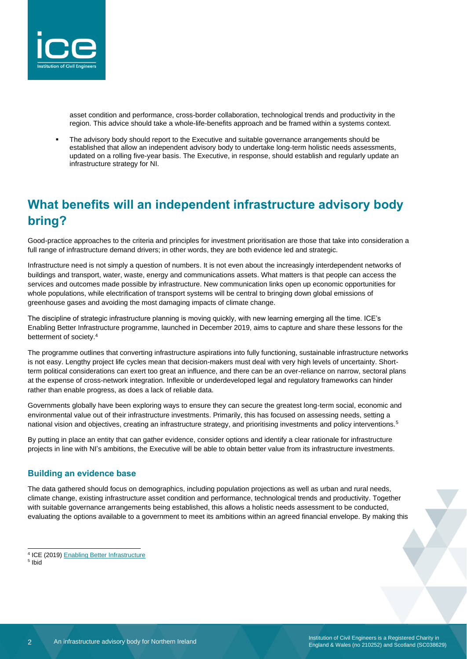

asset condition and performance, cross-border collaboration, technological trends and productivity in the region. This advice should take a whole-life-benefits approach and be framed within a systems context.

The advisory body should report to the Executive and suitable governance arrangements should be established that allow an independent advisory body to undertake long-term holistic needs assessments, updated on a rolling five-year basis. The Executive, in response, should establish and regularly update an infrastructure strategy for NI.

# **What benefits will an independent infrastructure advisory body bring?**

Good-practice approaches to the criteria and principles for investment prioritisation are those that take into consideration a full range of infrastructure demand drivers; in other words, they are both evidence led and strategic.

Infrastructure need is not simply a question of numbers. It is not even about the increasingly interdependent networks of buildings and transport, water, waste, energy and communications assets. What matters is that people can access the services and outcomes made possible by infrastructure. New communication links open up economic opportunities for whole populations, while electrification of transport systems will be central to bringing down global emissions of greenhouse gases and avoiding the most damaging impacts of climate change.

The discipline of strategic infrastructure planning is moving quickly, with new learning emerging all the time. ICE's Enabling Better Infrastructure programme, launched in December 2019, aims to capture and share these lessons for the betterment of society.<sup>4</sup>

The programme outlines that converting infrastructure aspirations into fully functioning, sustainable infrastructure networks is not easy. Lengthy project life cycles mean that decision-makers must deal with very high levels of uncertainty. Shortterm political considerations can exert too great an influence, and there can be an over-reliance on narrow, sectoral plans at the expense of cross-network integration. Inflexible or underdeveloped legal and regulatory frameworks can hinder rather than enable progress, as does a lack of reliable data.

Governments globally have been exploring ways to ensure they can secure the greatest long-term social, economic and environmental value out of their infrastructure investments. Primarily, this has focused on assessing needs, setting a national vision and objectives, creating an infrastructure strategy, and prioritising investments and policy interventions.<sup>5</sup>

By putting in place an entity that can gather evidence, consider options and identify a clear rationale for infrastructure projects in line with NI's ambitions, the Executive will be able to obtain better value from its infrastructure investments.

#### **Building an evidence base**

The data gathered should focus on demographics, including population projections as well as urban and rural needs, climate change, existing infrastructure asset condition and performance, technological trends and productivity. Together with suitable governance arrangements being established, this allows a holistic needs assessment to be conducted, evaluating the options available to a government to meet its ambitions within an agreed financial envelope. By making this

5 Ibid

<sup>4</sup> ICE (2019[\) Enabling Better Infrastructure](https://www.ice.org.uk/news-and-insight/enabling-better-infrastructure)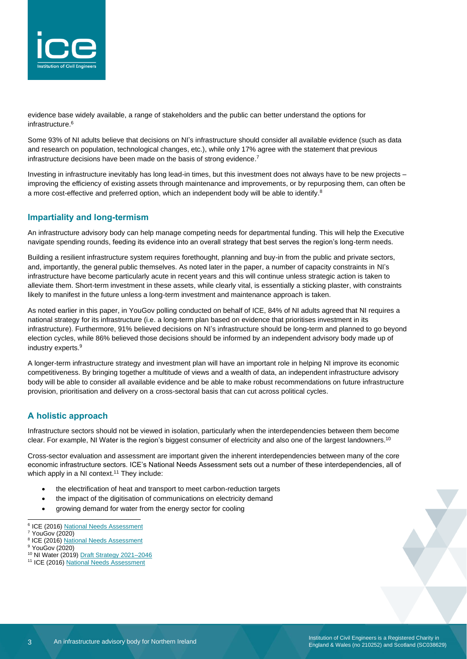

evidence base widely available, a range of stakeholders and the public can better understand the options for infrastructure.<sup>6</sup>

Some 93% of NI adults believe that decisions on NI's infrastructure should consider all available evidence (such as data and research on population, technological changes, etc.), while only 17% agree with the statement that previous infrastructure decisions have been made on the basis of strong evidence.<sup>7</sup>

Investing in infrastructure inevitably has long lead-in times, but this investment does not always have to be new projects – improving the efficiency of existing assets through maintenance and improvements, or by repurposing them, can often be a more cost-effective and preferred option, which an independent body will be able to identify.<sup>8</sup>

#### **Impartiality and long-termism**

An infrastructure advisory body can help manage competing needs for departmental funding. This will help the Executive navigate spending rounds, feeding its evidence into an overall strategy that best serves the region's long-term needs.

Building a resilient infrastructure system requires forethought, planning and buy-in from the public and private sectors, and, importantly, the general public themselves. As noted later in the paper, a number of capacity constraints in NI's infrastructure have become particularly acute in recent years and this will continue unless strategic action is taken to alleviate them. Short-term investment in these assets, while clearly vital, is essentially a sticking plaster, with constraints likely to manifest in the future unless a long-term investment and maintenance approach is taken.

As noted earlier in this paper, in YouGov polling conducted on behalf of ICE, 84% of NI adults agreed that NI requires a national strategy for its infrastructure (i.e. a long-term plan based on evidence that prioritises investment in its infrastructure). Furthermore, 91% believed decisions on NI's infrastructure should be long-term and planned to go beyond election cycles, while 86% believed those decisions should be informed by an independent advisory body made up of industry experts.<sup>9</sup>

A longer-term infrastructure strategy and investment plan will have an important role in helping NI improve its economic competitiveness. By bringing together a multitude of views and a wealth of data, an independent infrastructure advisory body will be able to consider all available evidence and be able to make robust recommendations on future infrastructure provision, prioritisation and delivery on a cross-sectoral basis that can cut across political cycles.

#### **A holistic approach**

Infrastructure sectors should not be viewed in isolation, particularly when the interdependencies between them become clear. For example, NI Water is the region's biggest consumer of electricity and also one of the largest landowners.<sup>10</sup>

Cross-sector evaluation and assessment are important given the inherent interdependencies between many of the core economic infrastructure sectors. ICE's National Needs Assessment sets out a number of these interdependencies, all of which apply in a NI context.<sup>11</sup> They include:

- the electrification of heat and transport to meet carbon-reduction targets
- the impact of the digitisation of communications on electricity demand
- growing demand for water from the energy sector for cooling
- <sup>6</sup> ICE (2016[\) National Needs Assessment](https://www.ice.org.uk/news-and-insight/policy/national-needs-assessment-a-vision-for-uk-infrastr)

- <sup>8</sup> ICE (2016[\) National Needs Assessment](https://www.ice.org.uk/news-and-insight/policy/national-needs-assessment-a-vision-for-uk-infrastr)
- <sup>9</sup> YouGov (2020)
- <sup>10</sup> NI Water (2019) Draft Strategy 2021-2046
- <sup>11</sup> ICE (2016[\) National Needs Assessment](https://www.ice.org.uk/news-and-insight/policy/national-needs-assessment-a-vision-for-uk-infrastr)

 $7$  YouGov (2020)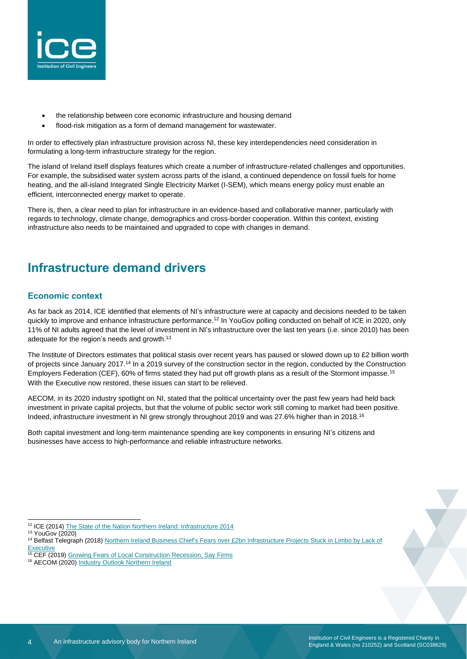

- the relationship between core economic infrastructure and housing demand
- flood-risk mitigation as a form of demand management for wastewater.

In order to effectively plan infrastructure provision across NI, these key interdependencies need consideration in formulating a long-term infrastructure strategy for the region.

The island of Ireland itself displays features which create a number of infrastructure-related challenges and opportunities. For example, the subsidised water system across parts of the island, a continued dependence on fossil fuels for home heating, and the all-island Integrated Single Electricity Market (I-SEM), which means energy policy must enable an efficient, interconnected energy market to operate.

There is, then, a clear need to plan for infrastructure in an evidence-based and collaborative manner, particularly with regards to technology, climate change, demographics and cross-border cooperation. Within this context, existing infrastructure also needs to be maintained and upgraded to cope with changes in demand.

## **Infrastructure demand drivers**

#### **Economic context**

As far back as 2014, ICE identified that elements of NI's infrastructure were at capacity and decisions needed to be taken quickly to improve and enhance infrastructure performance.<sup>12</sup> In YouGov polling conducted on behalf of ICE in 2020, only 11% of NI adults agreed that the level of investment in NI's infrastructure over the last ten years (i.e. since 2010) has been adequate for the region's needs and growth.<sup>13</sup>

The Institute of Directors estimates that political stasis over recent years has paused or slowed down up to £2 billion worth of projects since January 2017.<sup>14</sup> In a 2019 survey of the construction sector in the region, conducted by the Construction Employers Federation (CEF), 60% of firms stated they had put off growth plans as a result of the Stormont impasse.<sup>15</sup> With the Executive now restored, these issues can start to be relieved.

AECOM, in its 2020 industry spotlight on NI, stated that the political uncertainty over the past few years had held back investment in private capital projects, but that the volume of public sector work still coming to market had been positive. Indeed, infrastructure investment in NI grew strongly throughout 2019 and was 27.6% higher than in 2018.<sup>16</sup>

Both capital investment and long-term maintenance spending are key components in ensuring NI's citizens and businesses have access to high-performance and reliable infrastructure networks.

<sup>&</sup>lt;sup>12</sup> ICE (2014) [The State of the Nation Northern Ireland: Infrastructure 2014](https://www.ice.org.uk/getattachment/news-and-insight/policy/state-of-the-nation-2014-northern-ireland/SoN-Infrastructure-2014-Northern-Ireland.pdf.aspx#_ga=2.125122314.1294441772.1580892990-1714938937.1528710932)

<sup>13</sup> YouGov (2020)

<sup>&</sup>lt;sup>14</sup> Belfast Telegraph (2018) Northern Ireland Business Chief's Fears over £2bn Infrastructure Projects Stuck in Limbo by Lack of **[Executive](https://www.belfasttelegraph.co.uk/business/northern-ireland/northern-ireland-business-chiefs-fears-over-2bn-infrastructure-projects-stuck-in-limbo-by-lack-of-executive-37631427.html)** 

<sup>&</sup>lt;sup>15</sup> CEF (2019) [Growing Fears of Local Construction Recession, Say Firms](https://www.cefni.co.uk/news/growing-fears-of-local-construction-recession-say-firms)

<sup>&</sup>lt;sup>16</sup> AECOM (2020) [Industry Outlook Northern Ireland](https://ireland.aecom.com/industry-spotlight-2020#NI)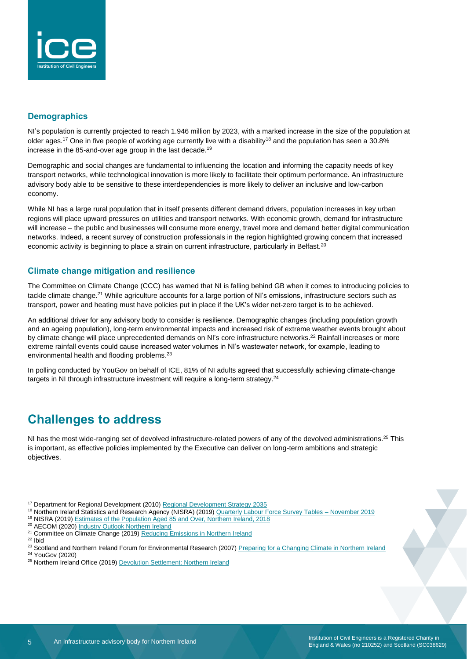

#### **Demographics**

NI's population is currently projected to reach 1.946 million by 2023, with a marked increase in the size of the population at older ages.<sup>17</sup> One in five people of working age currently live with a disability<sup>18</sup> and the population has seen a 30.8% increase in the 85-and-over age group in the last decade.<sup>19</sup>

Demographic and social changes are fundamental to influencing the location and informing the capacity needs of key transport networks, while technological innovation is more likely to facilitate their optimum performance. An infrastructure advisory body able to be sensitive to these interdependencies is more likely to deliver an inclusive and low-carbon economy.

While NI has a large rural population that in itself presents different demand drivers, population increases in key urban regions will place upward pressures on utilities and transport networks. With economic growth, demand for infrastructure will increase – the public and businesses will consume more energy, travel more and demand better digital communication networks. Indeed, a recent survey of construction professionals in the region highlighted growing concern that increased economic activity is beginning to place a strain on current infrastructure, particularly in Belfast.<sup>20</sup>

#### **Climate change mitigation and resilience**

The Committee on Climate Change (CCC) has warned that NI is falling behind GB when it comes to introducing policies to tackle climate change.<sup>21</sup> While agriculture accounts for a large portion of NI's emissions, infrastructure sectors such as transport, power and heating must have policies put in place if the UK's wider net-zero target is to be achieved.

An additional driver for any advisory body to consider is resilience. Demographic changes (including population growth and an ageing population), long-term environmental impacts and increased risk of extreme weather events brought about by climate change will place unprecedented demands on NI's core infrastructure networks.<sup>22</sup> Rainfall increases or more extreme rainfall events could cause increased water volumes in NI's wastewater network, for example, leading to environmental health and flooding problems.<sup>23</sup>

In polling conducted by YouGov on behalf of ICE, 81% of NI adults agreed that successfully achieving climate-change targets in NI through infrastructure investment will require a long-term strategy.<sup>24</sup>

### **Challenges to address**

NI has the most wide-ranging set of devolved infrastructure-related powers of any of the devolved administrations.<sup>25</sup> This is important, as effective policies implemented by the Executive can deliver on long-term ambitions and strategic objectives.

<sup>18</sup> Northern Ireland Statistics and Research Agency (NISRA) (2019) [Quarterly Labour Force Survey Tables –](https://www.nisra.gov.uk/publications/quarterly-labour-force-survey-tables-november-2019) November 2019

<sup>20</sup> AECOM (2020) [Industry Outlook Northern Ireland](https://ireland.aecom.com/industry-spotlight-2020#NI)

 $22$  Ibid

<sup>&</sup>lt;sup>17</sup> Department for Regional Development (2010[\) Regional Development Strategy 2035](https://www.planningni.gov.uk/index/policy/rds2035.pdf)

<sup>&</sup>lt;sup>19</sup> NISRA (2019) [Estimates of the Population Aged 85 and Over, Northern Ireland, 2018](https://www.nisra.gov.uk/sites/nisra.gov.uk/files/publications/85AndOver-Bulletin2018.pdf)

<sup>&</sup>lt;sup>21</sup> Committee on Climate Change (2019) [Reducing Emissions in Northern Ireland](https://www.theccc.org.uk/publication/reducing-emissions-in-northern-ireland/)

<sup>&</sup>lt;sup>23</sup> Scotland and Northern Ireland Forum for Environmental Research (2007) [Preparing for a Changing Climate in Northern Ireland](https://www.ukcip.org.uk/wp-content/PDFs/Preparing_CC_NI.pdf)

<sup>24</sup> YouGov (2020)

<sup>&</sup>lt;sup>25</sup> Northern Ireland Office (2019[\) Devolution Settlement: Northern Ireland](https://www.gov.uk/guidance/devolution-settlement-northern-ireland)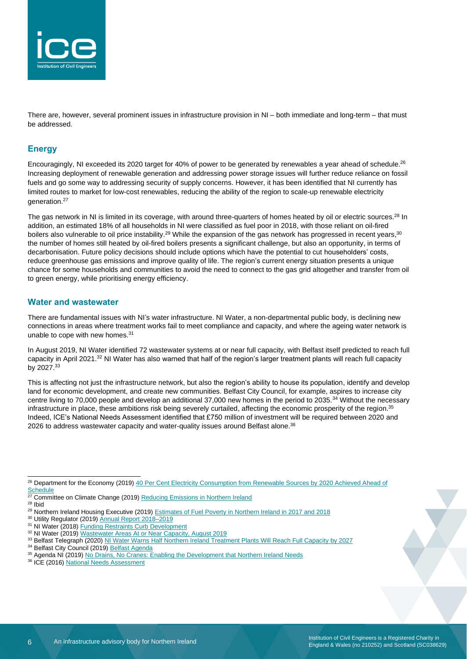

There are, however, several prominent issues in infrastructure provision in NI – both immediate and long-term – that must be addressed.

#### **Energy**

Encouragingly, NI exceeded its 2020 target for 40% of power to be generated by renewables a year ahead of schedule.<sup>26</sup> Increasing deployment of renewable generation and addressing power storage issues will further reduce reliance on fossil fuels and go some way to addressing security of supply concerns. However, it has been identified that NI currently has limited routes to market for low-cost renewables, reducing the ability of the region to scale-up renewable electricity generation.<sup>27</sup>

The gas network in NI is limited in its coverage, with around three-quarters of homes heated by oil or electric sources.<sup>28</sup> In addition, an estimated 18% of all households in NI were classified as fuel poor in 2018, with those reliant on oil-fired boilers also vulnerable to oil price instability.<sup>29</sup> While the expansion of the gas network has progressed in recent years,<sup>30</sup> the number of homes still heated by oil-fired boilers presents a significant challenge, but also an opportunity, in terms of decarbonisation. Future policy decisions should include options which have the potential to cut householders' costs, reduce greenhouse gas emissions and improve quality of life. The region's current energy situation presents a unique chance for some households and communities to avoid the need to connect to the gas grid altogether and transfer from oil to green energy, while prioritising energy efficiency.

#### **Water and wastewater**

There are fundamental issues with NI's water infrastructure. NI Water, a non-departmental public body, is declining new connections in areas where treatment works fail to meet compliance and capacity, and where the ageing water network is unable to cope with new homes. $31$ 

In August 2019, NI Water identified 72 wastewater systems at or near full capacity, with Belfast itself predicted to reach full capacity in April 2021.<sup>32</sup> NI Water has also warned that half of the region's larger treatment plants will reach full capacity by 2027.<sup>33</sup>

This is affecting not just the infrastructure network, but also the region's ability to house its population, identify and develop land for economic development, and create new communities. Belfast City Council, for example, aspires to increase city centre living to 70,000 people and develop an additional 37,000 new homes in the period to 2035.<sup>34</sup> Without the necessary infrastructure in place, these ambitions risk being severely curtailed, affecting the economic prosperity of the region.<sup>35</sup> Indeed, ICE's National Needs Assessment identified that £750 million of investment will be required between 2020 and 2026 to address wastewater capacity and water-quality issues around Belfast alone.<sup>36</sup>

<sup>28</sup> Ibid

<sup>34</sup> Belfast City Council (2019[\) Belfast Agenda](https://www.belfastcity.gov.uk/council/Communityplanning/BelfastAgenda.aspx)

<sup>36</sup> ICE (2016) [National Needs Assessment](https://www.ice.org.uk/news-and-insight/policy/national-needs-assessment-a-vision-for-uk-infrastr)

<sup>&</sup>lt;sup>26</sup> Department for the Economy (2019) 40 Per Cent Electricity Consumption from Renewable Sources by 2020 Achieved Ahead of [Schedule](https://www.economy-ni.gov.uk/news/40-electricity-consumption-renewable-sources-by-2020-achieved-ahead-schedule)<br><sup>27</sup> Campul

**Committee on Climate Change (2019) [Reducing Emissions in Northern Ireland](https://www.theccc.org.uk/publication/reducing-emissions-in-northern-ireland/)** 

<sup>29</sup> Northern Ireland Housing Executive (2019[\) Estimates of Fuel Poverty in Northern Ireland in 2017 and](https://www.nihe.gov.uk/getmedia/1f9e55a1-66c2-46b7-bf92-9ee192ce355f/estimates-of-fuel-poverty-northern-ireland-2017-and-2018-revised.pdf.aspx?ext=.pdf) 2018

<sup>&</sup>lt;sup>30</sup> Utility Regulator (2019) **Annual Report 2018-2019** 

<sup>31</sup> NI Water (2018[\) Funding Restraints Curb Development](https://www.niwater.com/news-detail/11550/funding-restraints-curb-development/)

<sup>32</sup> NI Water (2019[\) Wastewater Areas At or Near Capacity,](https://www.niwater.com/wastewater-capacity/) August 2019

<sup>33</sup> Belfast Telegraph (2020[\) NI Water Warns Half Northern Ireland Treatment Plants Will Reach Full Capacity by 2027](https://www.belfasttelegraph.co.uk/news/northern-ireland/ni-water-warns-half-northern-ireland-treatment-plants-will-reach-full-capacity-by-2027-38881726.html)

<sup>&</sup>lt;sup>35</sup> Agenda NI (2019[\) No Drains, No Cranes: Enabling the Development that Northern Ireland Needs](https://www.agendani.com/no-drains-no-cranes-enabling-the-development-that-northern-ireland-needs/)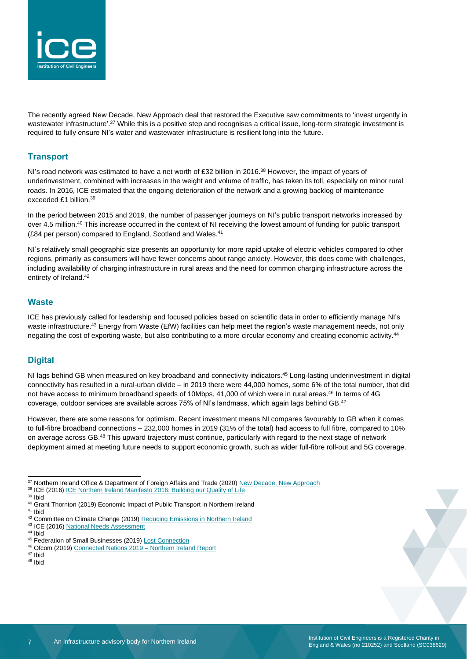

The recently agreed New Decade, New Approach deal that restored the Executive saw commitments to 'invest urgently in wastewater infrastructure'.<sup>37</sup> While this is a positive step and recognises a critical issue, long-term strategic investment is required to fully ensure NI's water and wastewater infrastructure is resilient long into the future.

#### **Transport**

NI's road network was estimated to have a net worth of £32 billion in 2016.<sup>38</sup> However, the impact of years of underinvestment, combined with increases in the weight and volume of traffic, has taken its toll, especially on minor rural roads. In 2016, ICE estimated that the ongoing deterioration of the network and a growing backlog of maintenance exceeded £1 billion.<sup>39</sup>

In the period between 2015 and 2019, the number of passenger journeys on NI's public transport networks increased by over 4.5 million.<sup>40</sup> This increase occurred in the context of NI receiving the lowest amount of funding for public transport (£84 per person) compared to England, Scotland and Wales.<sup>41</sup>

NI's relatively small geographic size presents an opportunity for more rapid uptake of electric vehicles compared to other regions, primarily as consumers will have fewer concerns about range anxiety. However, this does come with challenges, including availability of charging infrastructure in rural areas and the need for common charging infrastructure across the entirety of Ireland.<sup>42</sup>

#### **Waste**

ICE has previously called for leadership and focused policies based on scientific data in order to efficiently manage NI's waste infrastructure.<sup>43</sup> Energy from Waste (EfW) facilities can help meet the region's waste management needs, not only negating the cost of exporting waste, but also contributing to a more circular economy and creating economic activity.<sup>44</sup>

#### **Digital**

NI lags behind GB when measured on key broadband and connectivity indicators.<sup>45</sup> Long-lasting underinvestment in digital connectivity has resulted in a rural-urban divide – in 2019 there were 44,000 homes, some 6% of the total number, that did not have access to minimum broadband speeds of 10Mbps, 41,000 of which were in rural areas.<sup>46</sup> In terms of 4G coverage, outdoor services are available across 75% of NI's landmass, which again lags behind GB.<sup>47</sup>

However, there are some reasons for optimism. Recent investment means NI compares favourably to GB when it comes to full-fibre broadband connections – 232,000 homes in 2019 (31% of the total) had access to full fibre, compared to 10% on average across GB.<sup>48</sup> This upward trajectory must continue, particularly with regard to the next stage of network deployment aimed at meeting future needs to support economic growth, such as wider full-fibre roll-out and 5G coverage.

43 ICE (2016[\) National Needs Assessment](https://www.ice.org.uk/news-and-insight/policy/national-needs-assessment-a-vision-for-uk-infrastr)

<sup>47</sup> Ibid  $48$  Ibid

<sup>&</sup>lt;sup>37</sup> Northern Ireland Office & Department of Foreign Affairs and Trade (2020) [New Decade, New Approach](https://assets.publishing.service.gov.uk/government/uploads/system/uploads/attachment_data/file/856998/2020-01-08_a_new_decade__a_new_approach.pdf)

<sup>38</sup> ICE (2016) [ICE Northern Ireland Manifesto 2016: Building our Quality of Life](https://www.ice.org.uk/getattachment/news-and-insight/policy/manifesto-for-infrastructure-northern-ireland-2016/ICE-Northern-Ireland-2016-Manifesto.pdf.aspx#_ga=2.67460497.1294441772.1580892990-1714938937.1528710932)

<sup>39</sup> Ibid

<sup>40</sup> Grant Thornton (2019) Economic Impact of Public Transport in Northern Ireland <sup>41</sup> Ibid

<sup>42</sup> Committee on Climate Change (2019) [Reducing Emissions in Northern Ireland](https://www.theccc.org.uk/publication/reducing-emissions-in-northern-ireland/)

<sup>44</sup> Ibid

<sup>&</sup>lt;sup>45</sup> Federation of Small Businesses (2019[\) Lost Connection](https://www.fsb.org.uk/resource-report/lost-connection-how-poor-broadband-and-mobile-connectivity-hinders-small-firms.html)

<sup>46</sup> Ofcom (2019[\) Connected Nations 2019 –](https://www.ofcom.org.uk/__data/assets/pdf_file/0027/186408/connected-nations-2019-ni-report.pdf) Northern Ireland Report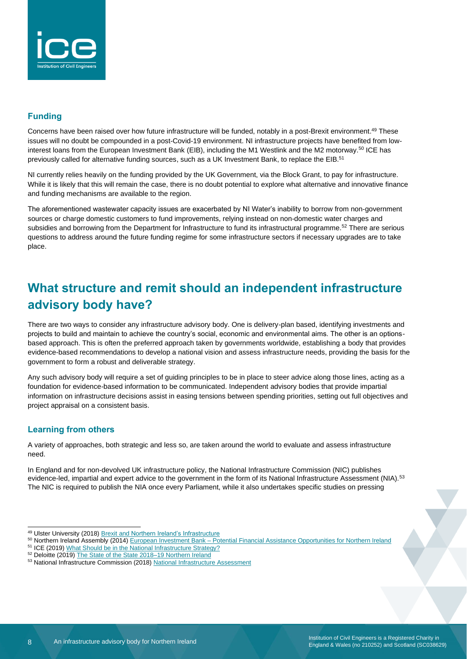

#### **Funding**

Concerns have been raised over how future infrastructure will be funded, notably in a post-Brexit environment.<sup>49</sup> These issues will no doubt be compounded in a post-Covid-19 environment. NI infrastructure projects have benefited from lowinterest loans from the European Investment Bank (EIB), including the M1 Westlink and the M2 motorway.<sup>50</sup> ICE has previously called for alternative funding sources, such as a UK Investment Bank, to replace the EIB.<sup>51</sup>

NI currently relies heavily on the funding provided by the UK Government, via the Block Grant, to pay for infrastructure. While it is likely that this will remain the case, there is no doubt potential to explore what alternative and innovative finance and funding mechanisms are available to the region.

The aforementioned wastewater capacity issues are exacerbated by NI Water's inability to borrow from non-government sources or charge domestic customers to fund improvements, relying instead on non-domestic water charges and subsidies and borrowing from the Department for Infrastructure to fund its infrastructural programme.<sup>52</sup> There are serious questions to address around the future funding regime for some infrastructure sectors if necessary upgrades are to take place.

# **What structure and remit should an independent infrastructure advisory body have?**

There are two ways to consider any infrastructure advisory body. One is delivery-plan based, identifying investments and projects to build and maintain to achieve the country's social, economic and environmental aims. The other is an optionsbased approach. This is often the preferred approach taken by governments worldwide, establishing a body that provides evidence-based recommendations to develop a national vision and assess infrastructure needs, providing the basis for the government to form a robust and deliverable strategy.

Any such advisory body will require a set of guiding principles to be in place to steer advice along those lines, acting as a foundation for evidence-based information to be communicated. Independent advisory bodies that provide impartial information on infrastructure decisions assist in easing tensions between spending priorities, setting out full objectives and project appraisal on a consistent basis.

#### **Learning from others**

A variety of approaches, both strategic and less so, are taken around the world to evaluate and assess infrastructure need.

In England and for non-devolved UK infrastructure policy, the National Infrastructure Commission (NIC) publishes evidence-led, impartial and expert advice to the government in the form of its National Infrastructure Assessment (NIA).<sup>53</sup> The NIC is required to publish the NIA once every Parliament, while it also undertakes specific studies on pressing

<sup>49</sup> Ulster University (2018) Brexit and [Northern Ireland's Infrastructure](https://www.ulster.ac.uk/__data/assets/pdf_file/0010/179416/Brexit-and-NI-Infrastructure.pdf)

<sup>50</sup> Northern Ireland Assembly (2014) European Investment Bank – [Potential Financial Assistance Opportunities for Northern Ireland](http://www.niassembly.gov.uk/globalassets/documents/raise/publications/2014/finance_personnel/5214.pdf)

<sup>&</sup>lt;sup>51</sup> ICE (2019[\) What Should be in the National Infrastructure Strategy?](https://www.ice.org.uk/getattachment/news-and-insight/policy/what-should-national-infrastructure-strategy/What-should-be-in-the-National-Infrastructure-Strategy-ICE-July-2019.pdf.aspx#_ga=2.3639608.90685701.1582194404-1714938937.1528710932)

<sup>&</sup>lt;sup>52</sup> Deloitte (2019) [The State of the State 2018–19 Northern Ireland](https://www2.deloitte.com/content/dam/Deloitte/uk/Documents/public-sector/deloitte-uk-state-of-the-state-northern-ireland.pdf)

<sup>53</sup> National Infrastructure Commission (2018[\) National Infrastructure Assessment](https://www.nic.org.uk/wp-content/uploads/CCS001_CCS0618917350-001_NIC-NIA_Accessible.pdf)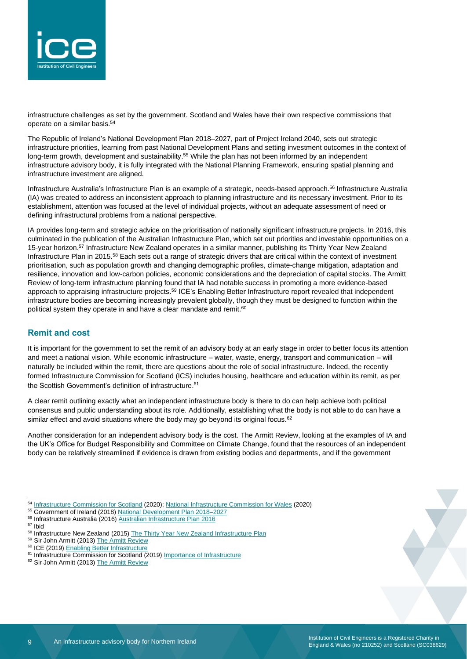

infrastructure challenges as set by the government. Scotland and Wales have their own respective commissions that operate on a similar basis. 54

The Republic of Ireland's National Development Plan 2018–2027, part of Project Ireland 2040, sets out strategic infrastructure priorities, learning from past National Development Plans and setting investment outcomes in the context of long-term growth, development and sustainability.<sup>55</sup> While the plan has not been informed by an independent infrastructure advisory body, it is fully integrated with the National Planning Framework, ensuring spatial planning and infrastructure investment are aligned.

Infrastructure Australia's Infrastructure Plan is an example of a strategic, needs-based approach. <sup>56</sup> Infrastructure Australia (IA) was created to address an inconsistent approach to planning infrastructure and its necessary investment. Prior to its establishment, attention was focused at the level of individual projects, without an adequate assessment of need or defining infrastructural problems from a national perspective.

IA provides long-term and strategic advice on the prioritisation of nationally significant infrastructure projects. In 2016, this culminated in the publication of the Australian Infrastructure Plan, which set out priorities and investable opportunities on a 15-year horizon.<sup>57</sup> Infrastructure New Zealand operates in a similar manner, publishing its Thirty Year New Zealand Infrastructure Plan in 2015.<sup>58</sup> Each sets out a range of strategic drivers that are critical within the context of investment prioritisation, such as population growth and changing demographic profiles, climate-change mitigation, adaptation and resilience, innovation and low-carbon policies, economic considerations and the depreciation of capital stocks. The Armitt Review of long-term infrastructure planning found that IA had notable success in promoting a more evidence-based approach to appraising infrastructure projects.<sup>59</sup> ICE's Enabling Better Infrastructure report revealed that independent infrastructure bodies are becoming increasingly prevalent globally, though they must be designed to function within the political system they operate in and have a clear mandate and remit.<sup>60</sup>

#### **Remit and cost**

It is important for the government to set the remit of an advisory body at an early stage in order to better focus its attention and meet a national vision. While economic infrastructure – water, waste, energy, transport and communication – will naturally be included within the remit, there are questions about the role of social infrastructure. Indeed, the recently formed Infrastructure Commission for Scotland (ICS) includes housing, healthcare and education within its remit, as per the Scottish Government's definition of infrastructure. 61

A clear remit outlining exactly what an independent infrastructure body is there to do can help achieve both political consensus and public understanding about its role. Additionally, establishing what the body is not able to do can have a similar effect and avoid situations where the body may go beyond its original focus. $62$ 

Another consideration for an independent advisory body is the cost. The Armitt Review, looking at the examples of IA and the UK's Office for Budget Responsibility and Committee on Climate Change, found that the resources of an independent body can be relatively streamlined if evidence is drawn from existing bodies and departments, and if the government

<sup>54</sup> [Infrastructure Commission for Scotland](https://infrastructurecommission.scot/) (2020)[; National Infrastructure Commission for Wales](https://gov.wales/national-infrastructure-commission-wales) (2020)

<sup>55</sup> Government of Ireland (2018[\) National Development Plan 2018–2027](https://www.gov.ie/pdf/?file=https://assets.gov.ie/831/130718120306-5569359-NDP%20strategy%202018-2027_WEB.pdf#page=1)

<sup>56</sup> Infrastructure Australia (2016) [Australian Infrastructure Plan 2016](https://infrastructureaustralia.gov.au/policy-publications/publications/Australian-Infrastructure-Plan.aspx)

<sup>57</sup> Ibid

<sup>&</sup>lt;sup>58</sup> Infrastructure New Zealand (2015) The Thirty Year New [Zealand Infrastructure Plan](https://treasury.govt.nz/sites/default/files/2018-03/nip-aug15.pdf)

<sup>59</sup> Sir John Armitt (2013[\) The Armitt Review](https://www.policyforum.labour.org.uk/uploads/editor/files/The_Armitt_Review_Final_Report.pdf)

<sup>&</sup>lt;sup>60</sup> ICE (2019) [Enabling Better Infrastructure](https://www.ice.org.uk/ICEDevelopmentWebPortal/media/Documents/Media/ice-enabling-better-infrastructure-report.pdf)

<sup>&</sup>lt;sup>61</sup> Infrastructure Commission for Scotland (2019) [Importance of Infrastructure](https://infrastructurecommission.scot/page/importance-of-infrastructure)

<sup>&</sup>lt;sup>62</sup> Sir John Armitt (2013[\) The Armitt Review](https://www.policyforum.labour.org.uk/uploads/editor/files/The_Armitt_Review_Final_Report.pdf)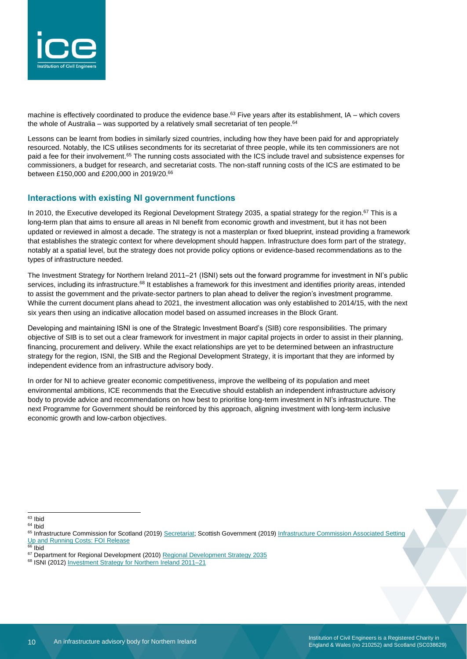

machine is effectively coordinated to produce the evidence base.<sup>63</sup> Five years after its establishment, IA – which covers the whole of Australia – was supported by a relatively small secretariat of ten people.<sup>64</sup>

Lessons can be learnt from bodies in similarly sized countries, including how they have been paid for and appropriately resourced. Notably, the ICS utilises secondments for its secretariat of three people, while its ten commissioners are not paid a fee for their involvement.<sup>65</sup> The running costs associated with the ICS include travel and subsistence expenses for commissioners, a budget for research, and secretariat costs. The non-staff running costs of the ICS are estimated to be between £150,000 and £200,000 in 2019/20. 66

#### **Interactions with existing NI government functions**

In 2010, the Executive developed its Regional Development Strategy 2035, a spatial strategy for the region.<sup>67</sup> This is a long-term plan that aims to ensure all areas in NI benefit from economic growth and investment, but it has not been updated or reviewed in almost a decade. The strategy is not a masterplan or fixed blueprint, instead providing a framework that establishes the strategic context for where development should happen. Infrastructure does form part of the strategy, notably at a spatial level, but the strategy does not provide policy options or evidence-based recommendations as to the types of infrastructure needed.

The Investment Strategy for Northern Ireland 2011–21 (ISNI) sets out the forward programme for investment in NI's public services, including its infrastructure.<sup>68</sup> It establishes a framework for this investment and identifies priority areas, intended to assist the government and the private-sector partners to plan ahead to deliver the region's investment programme. While the current document plans ahead to 2021, the investment allocation was only established to 2014/15, with the next six years then using an indicative allocation model based on assumed increases in the Block Grant.

Developing and maintaining ISNI is one of the Strategic Investment Board's (SIB) core responsibilities. The primary objective of SIB is to set out a clear framework for investment in major capital projects in order to assist in their planning, financing, procurement and delivery. While the exact relationships are yet to be determined between an infrastructure strategy for the region, ISNI, the SIB and the Regional Development Strategy, it is important that they are informed by independent evidence from an infrastructure advisory body.

In order for NI to achieve greater economic competitiveness, improve the wellbeing of its population and meet environmental ambitions, ICE recommends that the Executive should establish an independent infrastructure advisory body to provide advice and recommendations on how best to prioritise long-term investment in NI's infrastructure. The next Programme for Government should be reinforced by this approach, aligning investment with long-term inclusive economic growth and low-carbon objectives.

<sup>63</sup> Ibid

<sup>64</sup> Ibid

 $66$  Ibid

<sup>68</sup> ISNI (2012[\) Investment Strategy for Northern Ireland 2011–21](http://isni.gov.uk/PDFs/Investment%20Strategy.pdf)

<sup>65</sup> Infrastructure Commission for Scotland (2019) [Secretariat;](https://infrastructurecommission.scot/page/secretariat) Scottish Government (2019) Infrastructure Commission Associated Setting [Up and Running Costs: FOI Release](https://www.gov.scot/publications/foi-19-00993/)

<sup>&</sup>lt;sup>67</sup> Department for Regional Development (2010[\) Regional Development Strategy 2035](https://www.planningni.gov.uk/index/policy/rds2035.pdf)